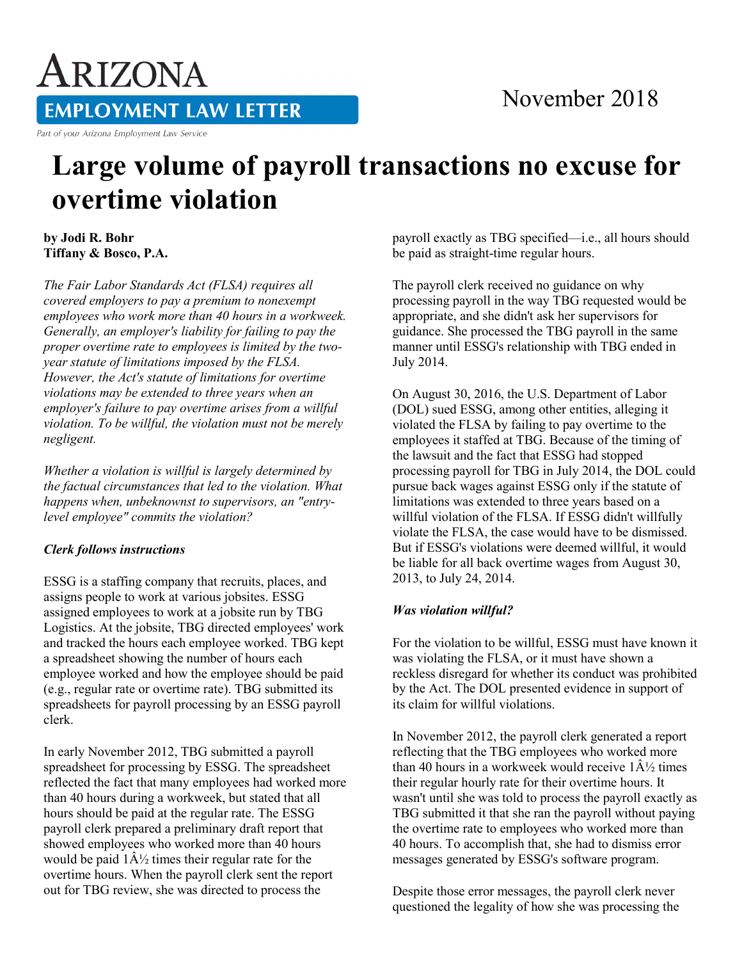# ARIZONA **EMPLOYMENT LAW LETTER**

Part of your Arizona Employment Law Service

### November 2018

## **Large volume of payroll transactions no excuse for overtime violation**

**by Jodi R. Bohr Tiffany & Bosco, P.A.** 

*The Fair Labor Standards Act (FLSA) requires all covered employers to pay a premium to nonexempt employees who work more than 40 hours in a workweek. Generally, an employer's liability for failing to pay the proper overtime rate to employees is limited by the twoyear statute of limitations imposed by the FLSA. However, the Act's statute of limitations for overtime violations may be extended to three years when an employer's failure to pay overtime arises from a willful violation. To be willful, the violation must not be merely negligent.*

*Whether a violation is willful is largely determined by the factual circumstances that led to the violation. What happens when, unbeknownst to supervisors, an "entrylevel employee" commits the violation?*

#### *Clerk follows instructions*

ESSG is a staffing company that recruits, places, and assigns people to work at various jobsites. ESSG assigned employees to work at a jobsite run by TBG Logistics. At the jobsite, TBG directed employees' work and tracked the hours each employee worked. TBG kept a spreadsheet showing the number of hours each employee worked and how the employee should be paid (e.g., regular rate or overtime rate). TBG submitted its spreadsheets for payroll processing by an ESSG payroll clerk.

In early November 2012, TBG submitted a payroll spreadsheet for processing by ESSG. The spreadsheet reflected the fact that many employees had worked more than 40 hours during a workweek, but stated that all hours should be paid at the regular rate. The ESSG payroll clerk prepared a preliminary draft report that showed employees who worked more than 40 hours would be paid  $1\hat{A}$  times their regular rate for the overtime hours. When the payroll clerk sent the report out for TBG review, she was directed to process the

payroll exactly as TBG specified—i.e., all hours should be paid as straight-time regular hours.

The payroll clerk received no guidance on why processing payroll in the way TBG requested would be appropriate, and she didn't ask her supervisors for guidance. She processed the TBG payroll in the same manner until ESSG's relationship with TBG ended in July 2014.

On August 30, 2016, the U.S. Department of Labor (DOL) sued ESSG, among other entities, alleging it violated the FLSA by failing to pay overtime to the employees it staffed at TBG. Because of the timing of the lawsuit and the fact that ESSG had stopped processing payroll for TBG in July 2014, the DOL could pursue back wages against ESSG only if the statute of limitations was extended to three years based on a willful violation of the FLSA. If ESSG didn't willfully violate the FLSA, the case would have to be dismissed. But if ESSG's violations were deemed willful, it would be liable for all back overtime wages from August 30, 2013, to July 24, 2014.

#### *Was violation willful?*

For the violation to be willful, ESSG must have known it was violating the FLSA, or it must have shown a reckless disregard for whether its conduct was prohibited by the Act. The DOL presented evidence in support of its claim for willful violations.

In November 2012, the payroll clerk generated a report reflecting that the TBG employees who worked more than 40 hours in a workweek would receive  $1\hat{A}\frac{1}{2}$  times their regular hourly rate for their overtime hours. It wasn't until she was told to process the payroll exactly as TBG submitted it that she ran the payroll without paying the overtime rate to employees who worked more than 40 hours. To accomplish that, she had to dismiss error messages generated by ESSG's software program.

Despite those error messages, the payroll clerk never questioned the legality of how she was processing the